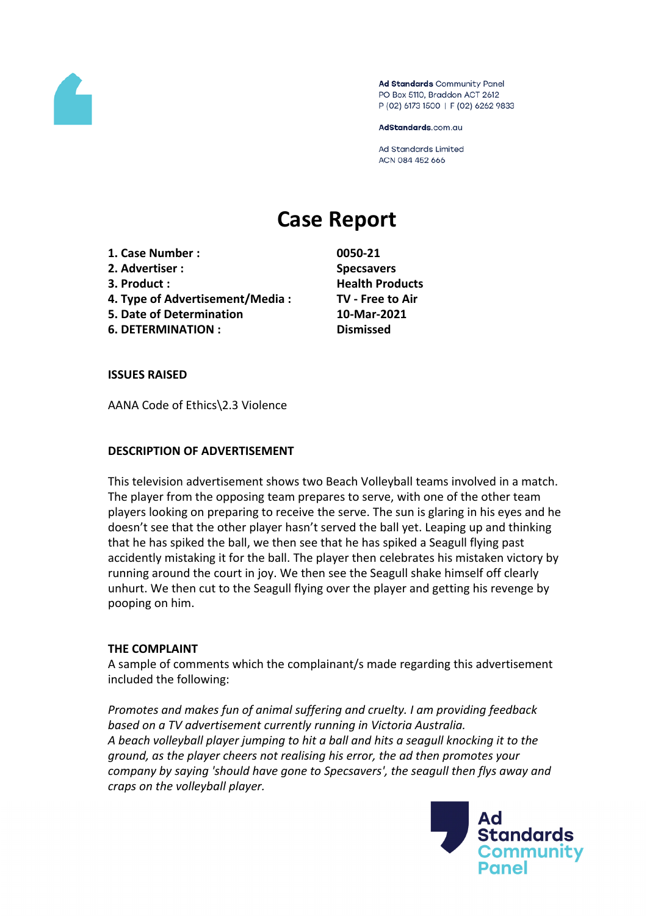

Ad Standards Community Panel PO Box 5110, Braddon ACT 2612 P (02) 6173 1500 | F (02) 6262 9833

AdStandards.com.au

**Ad Standards Limited** ACN 084 452 666

# **Case Report**

- **1. Case Number : 0050-21**
- **2. Advertiser : Specsavers**
- 
- **4. Type of Advertisement/Media : TV - Free to Air**
- **5. Date of Determination 10-Mar-2021**
- **6. DETERMINATION : Dismissed**

**3. Product : Health Products**

## **ISSUES RAISED**

AANA Code of Ethics\2.3 Violence

## **DESCRIPTION OF ADVERTISEMENT**

This television advertisement shows two Beach Volleyball teams involved in a match. The player from the opposing team prepares to serve, with one of the other team players looking on preparing to receive the serve. The sun is glaring in his eyes and he doesn't see that the other player hasn't served the ball yet. Leaping up and thinking that he has spiked the ball, we then see that he has spiked a Seagull flying past accidently mistaking it for the ball. The player then celebrates his mistaken victory by running around the court in joy. We then see the Seagull shake himself off clearly unhurt. We then cut to the Seagull flying over the player and getting his revenge by pooping on him.

## **THE COMPLAINT**

A sample of comments which the complainant/s made regarding this advertisement included the following:

*Promotes and makes fun of animal suffering and cruelty. I am providing feedback based on a TV advertisement currently running in Victoria Australia. A beach volleyball player jumping to hit a ball and hits a seagull knocking it to the ground, as the player cheers not realising his error, the ad then promotes your company by saying 'should have gone to Specsavers', the seagull then flys away and craps on the volleyball player.*

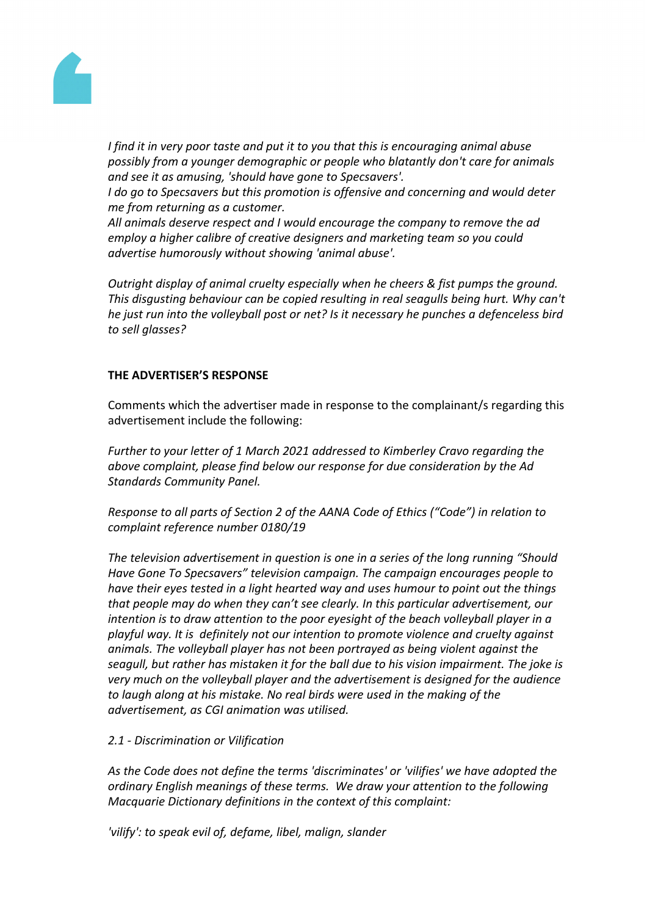

*I find it in very poor taste and put it to you that this is encouraging animal abuse possibly from a younger demographic or people who blatantly don't care for animals and see it as amusing, 'should have gone to Specsavers'.*

*I do go to Specsavers but this promotion is offensive and concerning and would deter me from returning as a customer.*

*All animals deserve respect and I would encourage the company to remove the ad employ a higher calibre of creative designers and marketing team so you could advertise humorously without showing 'animal abuse'.*

*Outright display of animal cruelty especially when he cheers & fist pumps the ground. This disgusting behaviour can be copied resulting in real seagulls being hurt. Why can't he just run into the volleyball post or net? Is it necessary he punches a defenceless bird to sell glasses?*

# **THE ADVERTISER'S RESPONSE**

Comments which the advertiser made in response to the complainant/s regarding this advertisement include the following:

*Further to your letter of 1 March 2021 addressed to Kimberley Cravo regarding the above complaint, please find below our response for due consideration by the Ad Standards Community Panel.*

*Response to all parts of Section 2 of the AANA Code of Ethics ("Code") in relation to complaint reference number 0180/19*

*The television advertisement in question is one in a series of the long running "Should Have Gone To Specsavers" television campaign. The campaign encourages people to have their eyes tested in a light hearted way and uses humour to point out the things that people may do when they can't see clearly. In this particular advertisement, our intention is to draw attention to the poor eyesight of the beach volleyball player in a playful way. It is definitely not our intention to promote violence and cruelty against animals. The volleyball player has not been portrayed as being violent against the seagull, but rather has mistaken it for the ball due to his vision impairment. The joke is very much on the volleyball player and the advertisement is designed for the audience to laugh along at his mistake. No real birds were used in the making of the advertisement, as CGI animation was utilised.*

## *2.1 - Discrimination or Vilification*

*As the Code does not define the terms 'discriminates' or 'vilifies' we have adopted the ordinary English meanings of these terms. We draw your attention to the following Macquarie Dictionary definitions in the context of this complaint:*

*'vilify': to speak evil of, defame, libel, malign, slander*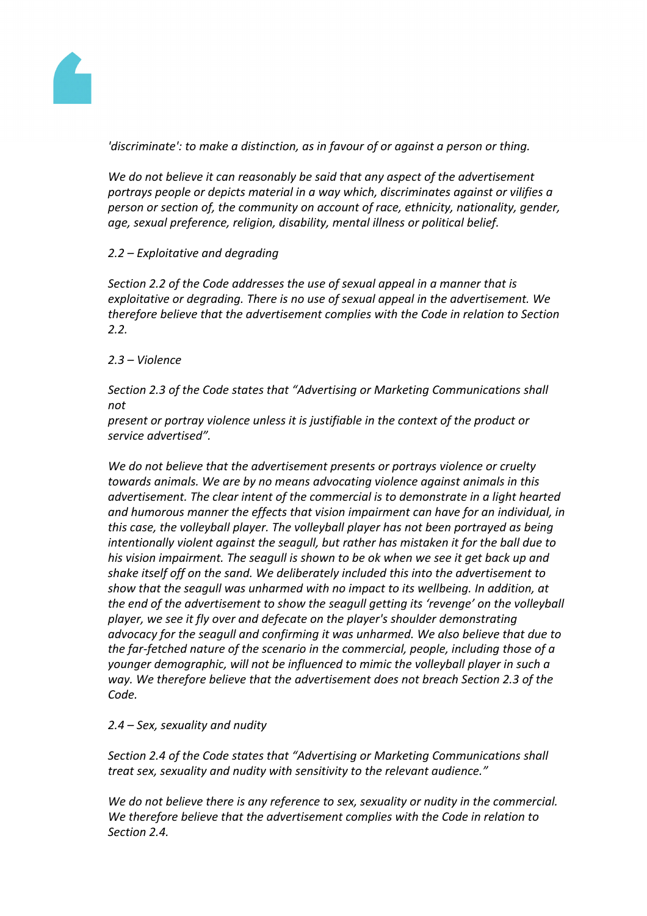

*'discriminate': to make a distinction, as in favour of or against a person or thing.*

*We do not believe it can reasonably be said that any aspect of the advertisement portrays people or depicts material in a way which, discriminates against or vilifies a person or section of, the community on account of race, ethnicity, nationality, gender, age, sexual preference, religion, disability, mental illness or political belief.* 

## *2.2 – Exploitative and degrading*

*Section 2.2 of the Code addresses the use of sexual appeal in a manner that is exploitative or degrading. There is no use of sexual appeal in the advertisement. We therefore believe that the advertisement complies with the Code in relation to Section 2.2.*

*2.3 – Violence*

*Section 2.3 of the Code states that "Advertising or Marketing Communications shall not*

*present or portray violence unless it is justifiable in the context of the product or service advertised".*

*We do not believe that the advertisement presents or portrays violence or cruelty towards animals. We are by no means advocating violence against animals in this advertisement. The clear intent of the commercial is to demonstrate in a light hearted and humorous manner the effects that vision impairment can have for an individual, in this case, the volleyball player. The volleyball player has not been portrayed as being intentionally violent against the seagull, but rather has mistaken it for the ball due to his vision impairment. The seagull is shown to be ok when we see it get back up and shake itself off on the sand. We deliberately included this into the advertisement to show that the seagull was unharmed with no impact to its wellbeing. In addition, at the end of the advertisement to show the seagull getting its 'revenge' on the volleyball player, we see it fly over and defecate on the player's shoulder demonstrating advocacy for the seagull and confirming it was unharmed. We also believe that due to the far-fetched nature of the scenario in the commercial, people, including those of a younger demographic, will not be influenced to mimic the volleyball player in such a way. We therefore believe that the advertisement does not breach Section 2.3 of the Code.*

*2.4 – Sex, sexuality and nudity*

*Section 2.4 of the Code states that "Advertising or Marketing Communications shall treat sex, sexuality and nudity with sensitivity to the relevant audience."*

*We do not believe there is any reference to sex, sexuality or nudity in the commercial. We therefore believe that the advertisement complies with the Code in relation to Section 2.4.*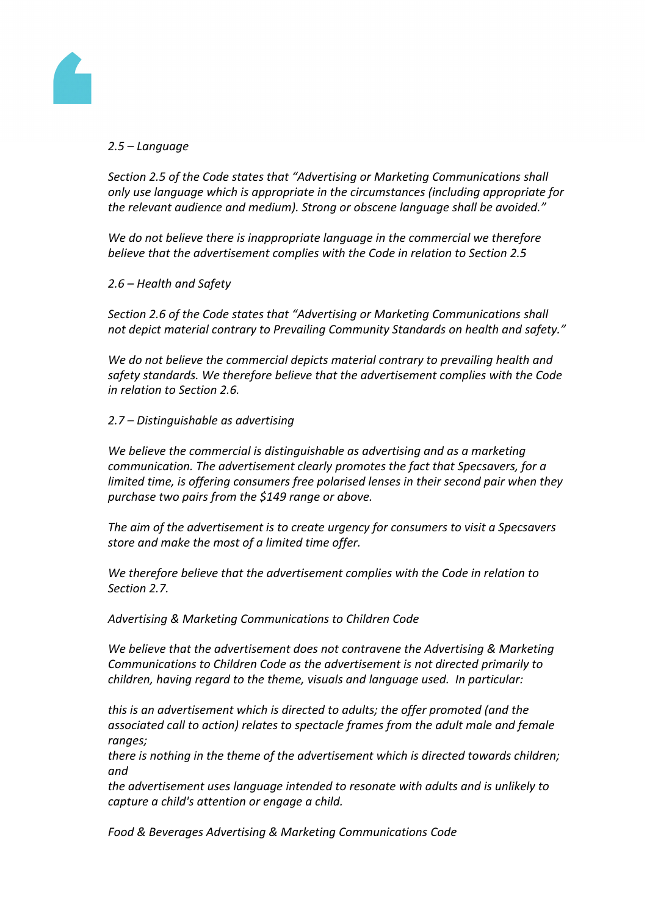

# *2.5 – Language*

*Section 2.5 of the Code states that "Advertising or Marketing Communications shall only use language which is appropriate in the circumstances (including appropriate for the relevant audience and medium). Strong or obscene language shall be avoided."*

*We do not believe there is inappropriate language in the commercial we therefore believe that the advertisement complies with the Code in relation to Section 2.5*

*2.6 – Health and Safety*

*Section 2.6 of the Code states that "Advertising or Marketing Communications shall not depict material contrary to Prevailing Community Standards on health and safety."*

*We do not believe the commercial depicts material contrary to prevailing health and safety standards. We therefore believe that the advertisement complies with the Code in relation to Section 2.6.*

*2.7 – Distinguishable as advertising*

*We believe the commercial is distinguishable as advertising and as a marketing communication. The advertisement clearly promotes the fact that Specsavers, for a limited time, is offering consumers free polarised lenses in their second pair when they purchase two pairs from the \$149 range or above.*

*The aim of the advertisement is to create urgency for consumers to visit a Specsavers store and make the most of a limited time offer.*

*We therefore believe that the advertisement complies with the Code in relation to Section 2.7.*

*Advertising & Marketing Communications to Children Code*

*We believe that the advertisement does not contravene the Advertising & Marketing Communications to Children Code as the advertisement is not directed primarily to children, having regard to the theme, visuals and language used. In particular:*

*this is an advertisement which is directed to adults; the offer promoted (and the associated call to action) relates to spectacle frames from the adult male and female ranges;*

*there is nothing in the theme of the advertisement which is directed towards children; and*

*the advertisement uses language intended to resonate with adults and is unlikely to capture a child's attention or engage a child.*

*Food & Beverages Advertising & Marketing Communications Code*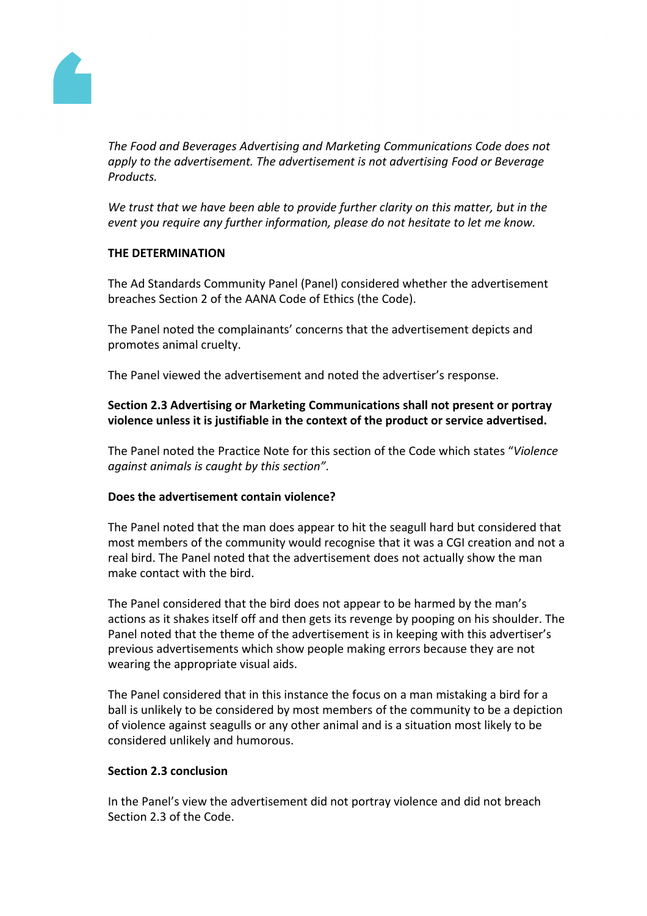

*The Food and Beverages Advertising and Marketing Communications Code does not apply to the advertisement. The advertisement is not advertising Food or Beverage Products.*

*We trust that we have been able to provide further clarity on this matter, but in the event you require any further information, please do not hesitate to let me know.*

## **THE DETERMINATION**

The Ad Standards Community Panel (Panel) considered whether the advertisement breaches Section 2 of the AANA Code of Ethics (the Code).

The Panel noted the complainants' concerns that the advertisement depicts and promotes animal cruelty.

The Panel viewed the advertisement and noted the advertiser's response.

**Section 2.3 Advertising or Marketing Communications shall not present or portray violence unless it is justifiable in the context of the product or service advertised.**

The Panel noted the Practice Note for this section of the Code which states "*Violence against animals is caught by this section"*.

## **Does the advertisement contain violence?**

The Panel noted that the man does appear to hit the seagull hard but considered that most members of the community would recognise that it was a CGI creation and not a real bird. The Panel noted that the advertisement does not actually show the man make contact with the bird.

The Panel considered that the bird does not appear to be harmed by the man's actions as it shakes itself off and then gets its revenge by pooping on his shoulder. The Panel noted that the theme of the advertisement is in keeping with this advertiser's previous advertisements which show people making errors because they are not wearing the appropriate visual aids.

The Panel considered that in this instance the focus on a man mistaking a bird for a ball is unlikely to be considered by most members of the community to be a depiction of violence against seagulls or any other animal and is a situation most likely to be considered unlikely and humorous.

## **Section 2.3 conclusion**

In the Panel's view the advertisement did not portray violence and did not breach Section 2.3 of the Code.